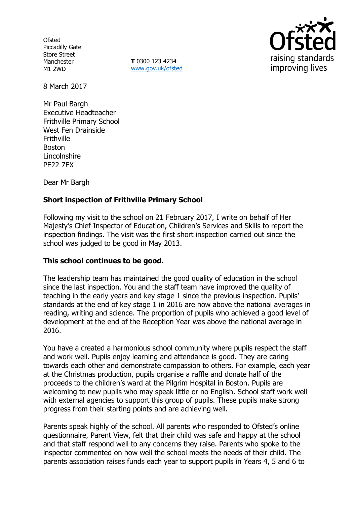**Ofsted** Piccadilly Gate Store Street Manchester M1 2WD

**T** 0300 123 4234 www.gov.uk/ofsted



8 March 2017

Mr Paul Bargh Executive Headteacher Frithville Primary School West Fen Drainside **Frithville** Boston **Lincolnshire** PE22 7EX

Dear Mr Bargh

# **Short inspection of Frithville Primary School**

Following my visit to the school on 21 February 2017, I write on behalf of Her Majesty's Chief Inspector of Education, Children's Services and Skills to report the inspection findings. The visit was the first short inspection carried out since the school was judged to be good in May 2013.

## **This school continues to be good.**

The leadership team has maintained the good quality of education in the school since the last inspection. You and the staff team have improved the quality of teaching in the early years and key stage 1 since the previous inspection. Pupils' standards at the end of key stage 1 in 2016 are now above the national averages in reading, writing and science. The proportion of pupils who achieved a good level of development at the end of the Reception Year was above the national average in 2016.

You have a created a harmonious school community where pupils respect the staff and work well. Pupils enjoy learning and attendance is good. They are caring towards each other and demonstrate compassion to others. For example, each year at the Christmas production, pupils organise a raffle and donate half of the proceeds to the children's ward at the Pilgrim Hospital in Boston. Pupils are welcoming to new pupils who may speak little or no English. School staff work well with external agencies to support this group of pupils. These pupils make strong progress from their starting points and are achieving well.

Parents speak highly of the school. All parents who responded to Ofsted's online questionnaire, Parent View, felt that their child was safe and happy at the school and that staff respond well to any concerns they raise. Parents who spoke to the inspector commented on how well the school meets the needs of their child. The parents association raises funds each year to support pupils in Years 4, 5 and 6 to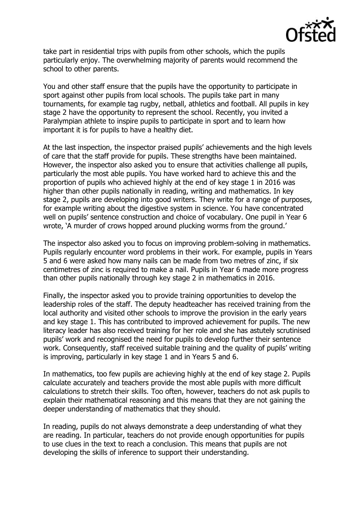

take part in residential trips with pupils from other schools, which the pupils particularly enjoy. The overwhelming majority of parents would recommend the school to other parents.

You and other staff ensure that the pupils have the opportunity to participate in sport against other pupils from local schools. The pupils take part in many tournaments, for example tag rugby, netball, athletics and football. All pupils in key stage 2 have the opportunity to represent the school. Recently, you invited a Paralympian athlete to inspire pupils to participate in sport and to learn how important it is for pupils to have a healthy diet.

At the last inspection, the inspector praised pupils' achievements and the high levels of care that the staff provide for pupils. These strengths have been maintained. However, the inspector also asked you to ensure that activities challenge all pupils, particularly the most able pupils. You have worked hard to achieve this and the proportion of pupils who achieved highly at the end of key stage 1 in 2016 was higher than other pupils nationally in reading, writing and mathematics. In key stage 2, pupils are developing into good writers. They write for a range of purposes, for example writing about the digestive system in science. You have concentrated well on pupils' sentence construction and choice of vocabulary. One pupil in Year 6 wrote, 'A murder of crows hopped around plucking worms from the ground.'

The inspector also asked you to focus on improving problem-solving in mathematics. Pupils regularly encounter word problems in their work. For example, pupils in Years 5 and 6 were asked how many nails can be made from two metres of zinc, if six centimetres of zinc is required to make a nail. Pupils in Year 6 made more progress than other pupils nationally through key stage 2 in mathematics in 2016.

Finally, the inspector asked you to provide training opportunities to develop the leadership roles of the staff. The deputy headteacher has received training from the local authority and visited other schools to improve the provision in the early years and key stage 1. This has contributed to improved achievement for pupils. The new literacy leader has also received training for her role and she has astutely scrutinised pupils' work and recognised the need for pupils to develop further their sentence work. Consequently, staff received suitable training and the quality of pupils' writing is improving, particularly in key stage 1 and in Years 5 and 6.

In mathematics, too few pupils are achieving highly at the end of key stage 2. Pupils calculate accurately and teachers provide the most able pupils with more difficult calculations to stretch their skills. Too often, however, teachers do not ask pupils to explain their mathematical reasoning and this means that they are not gaining the deeper understanding of mathematics that they should.

In reading, pupils do not always demonstrate a deep understanding of what they are reading. In particular, teachers do not provide enough opportunities for pupils to use clues in the text to reach a conclusion. This means that pupils are not developing the skills of inference to support their understanding.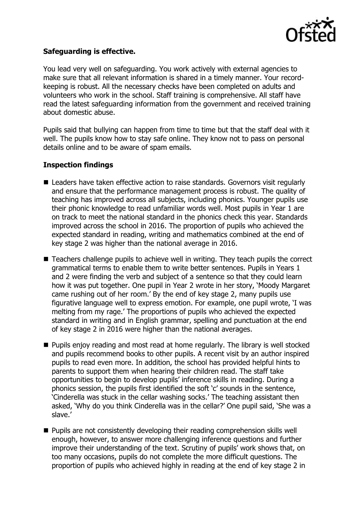

### **Safeguarding is effective.**

You lead very well on safeguarding. You work actively with external agencies to make sure that all relevant information is shared in a timely manner. Your recordkeeping is robust. All the necessary checks have been completed on adults and volunteers who work in the school. Staff training is comprehensive. All staff have read the latest safeguarding information from the government and received training about domestic abuse.

Pupils said that bullying can happen from time to time but that the staff deal with it well. The pupils know how to stay safe online. They know not to pass on personal details online and to be aware of spam emails.

#### **Inspection findings**

- Leaders have taken effective action to raise standards. Governors visit regularly and ensure that the performance management process is robust. The quality of teaching has improved across all subjects, including phonics. Younger pupils use their phonic knowledge to read unfamiliar words well. Most pupils in Year 1 are on track to meet the national standard in the phonics check this year. Standards improved across the school in 2016. The proportion of pupils who achieved the expected standard in reading, writing and mathematics combined at the end of key stage 2 was higher than the national average in 2016.
- Teachers challenge pupils to achieve well in writing. They teach pupils the correct grammatical terms to enable them to write better sentences. Pupils in Years 1 and 2 were finding the verb and subject of a sentence so that they could learn how it was put together. One pupil in Year 2 wrote in her story, 'Moody Margaret came rushing out of her room.' By the end of key stage 2, many pupils use figurative language well to express emotion. For example, one pupil wrote, 'I was melting from my rage.' The proportions of pupils who achieved the expected standard in writing and in English grammar, spelling and punctuation at the end of key stage 2 in 2016 were higher than the national averages.
- Pupils enjoy reading and most read at home regularly. The library is well stocked and pupils recommend books to other pupils. A recent visit by an author inspired pupils to read even more. In addition, the school has provided helpful hints to parents to support them when hearing their children read. The staff take opportunities to begin to develop pupils' inference skills in reading. During a phonics session, the pupils first identified the soft 'c' sounds in the sentence, 'Cinderella was stuck in the cellar washing socks.' The teaching assistant then asked, 'Why do you think Cinderella was in the cellar?' One pupil said, 'She was a slave.'
- **Pupils are not consistently developing their reading comprehension skills well** enough, however, to answer more challenging inference questions and further improve their understanding of the text. Scrutiny of pupils' work shows that, on too many occasions, pupils do not complete the more difficult questions. The proportion of pupils who achieved highly in reading at the end of key stage 2 in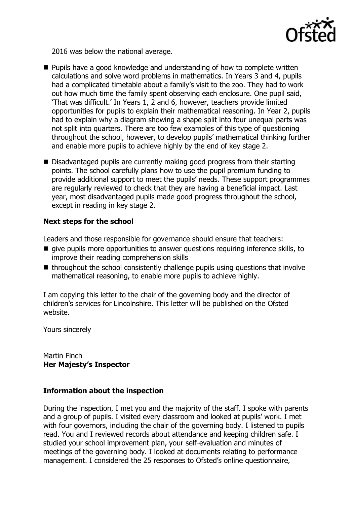

2016 was below the national average.

- **Pupils have a good knowledge and understanding of how to complete written** calculations and solve word problems in mathematics. In Years 3 and 4, pupils had a complicated timetable about a family's visit to the zoo. They had to work out how much time the family spent observing each enclosure. One pupil said, 'That was difficult.' In Years 1, 2 and 6, however, teachers provide limited opportunities for pupils to explain their mathematical reasoning. In Year 2, pupils had to explain why a diagram showing a shape split into four unequal parts was not split into quarters. There are too few examples of this type of questioning throughout the school, however, to develop pupils' mathematical thinking further and enable more pupils to achieve highly by the end of key stage 2.
- Disadvantaged pupils are currently making good progress from their starting points. The school carefully plans how to use the pupil premium funding to provide additional support to meet the pupils' needs. These support programmes are regularly reviewed to check that they are having a beneficial impact. Last year, most disadvantaged pupils made good progress throughout the school, except in reading in key stage 2.

## **Next steps for the school**

Leaders and those responsible for governance should ensure that teachers:

- $\blacksquare$  give pupils more opportunities to answer questions requiring inference skills, to improve their reading comprehension skills
- $\blacksquare$  throughout the school consistently challenge pupils using questions that involve mathematical reasoning, to enable more pupils to achieve highly.

I am copying this letter to the chair of the governing body and the director of children's services for Lincolnshire. This letter will be published on the Ofsted website.

Yours sincerely

Martin Finch **Her Majesty's Inspector**

## **Information about the inspection**

During the inspection, I met you and the majority of the staff. I spoke with parents and a group of pupils. I visited every classroom and looked at pupils' work. I met with four governors, including the chair of the governing body. I listened to pupils read. You and I reviewed records about attendance and keeping children safe. I studied your school improvement plan, your self-evaluation and minutes of meetings of the governing body. I looked at documents relating to performance management. I considered the 25 responses to Ofsted's online questionnaire,